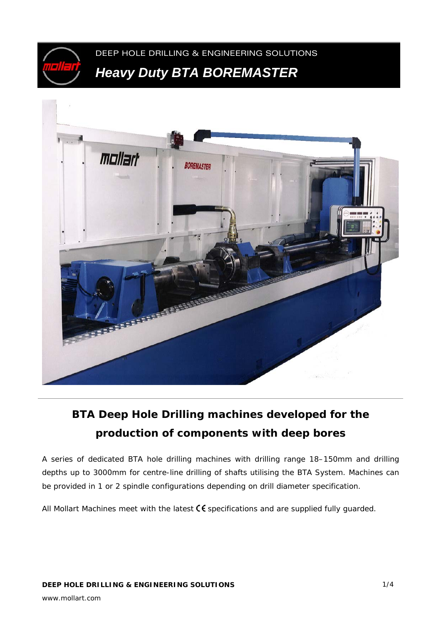



# **BTA Deep Hole Drilling machines developed for the production of components with deep bores**

A series of dedicated BTA hole drilling machines with drilling range 18–150mm and drilling depths up to 3000mm for centre-line drilling of shafts utilising the BTA System. Machines can be provided in 1 or 2 spindle configurations depending on drill diameter specification.

All Mollart Machines meet with the latest  $\mathsf C \mathsf \mathsf C$  specifications and are supplied fully guarded.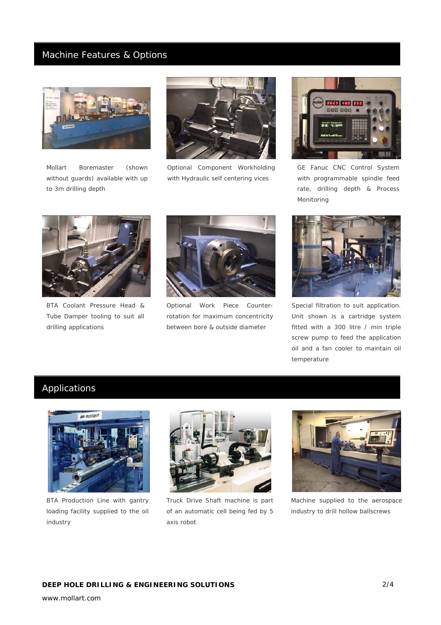### Machine Features & Options



*Mollart Boremaster (shown without guards) available with up to 3m drilling depth* 



*Optional Component Workholding with Hydraulic self centering vices* 



*GE Fanuc CNC Control System with programmable spindle feed rate, drilling depth & Process Monitoring* 



*BTA Coolant Pressure Head & Tube Damper tooling to suit all drilling applications* 



*Optional Work Piece Counterrotation for maximum concentricity between bore & outside diameter* 



*Special filtration to suit application. Unit shown is a cartridge system fitted with a 300 litre / min triple screw pump to feed the application oil and a fan cooler to maintain oil temperature* 

## Applications



*BTA Production Line with gantry loading facility supplied to the oil industry*



*Truck Drive Shaft machine is part of an automatic cell being fed by 5 axis robot* 



*Machine supplied to the aerospace industry to drill hollow ballscrews* 

www.mollart.com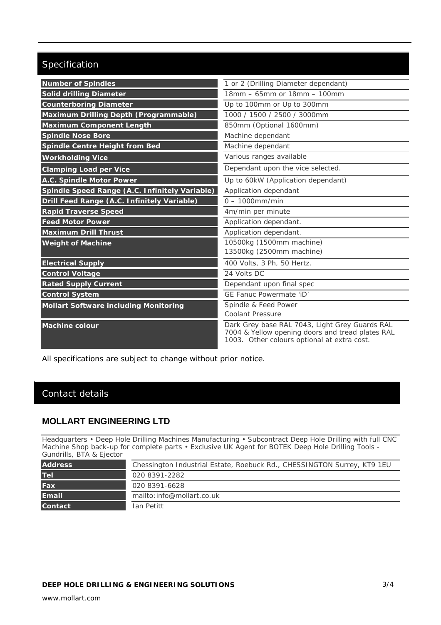## Specification

| <b>Number of Spindles</b>                      | 1 or 2 (Drilling Diameter dependant)                                                                                                              |
|------------------------------------------------|---------------------------------------------------------------------------------------------------------------------------------------------------|
| <b>Solid drilling Diameter</b>                 | 18mm - 65mm or 18mm - 100mm                                                                                                                       |
| <b>Counterboring Diameter</b>                  | Up to 100mm or Up to 300mm                                                                                                                        |
| Maximum Drilling Depth (Programmable)          | 1000 / 1500 / 2500 / 3000mm                                                                                                                       |
| <b>Maximum Component Length</b>                | 850mm (Optional 1600mm)                                                                                                                           |
| <b>Spindle Nose Bore</b>                       | Machine dependant                                                                                                                                 |
| Spindle Centre Height from Bed                 | Machine dependant                                                                                                                                 |
| <b>Workholding Vice</b>                        | Various ranges available                                                                                                                          |
| <b>Clamping Load per Vice</b>                  | Dependant upon the vice selected.                                                                                                                 |
| A.C. Spindle Motor Power                       | Up to 60kW (Application dependant)                                                                                                                |
| Spindle Speed Range (A.C. Infinitely Variable) | Application dependant                                                                                                                             |
| Drill Feed Range (A.C. Infinitely Variable)    | $0 - 1000$ mm/min                                                                                                                                 |
| <b>Rapid Traverse Speed</b>                    | 4m/min per minute                                                                                                                                 |
| <b>Feed Motor Power</b>                        | Application dependant.                                                                                                                            |
| <b>Maximum Drill Thrust</b>                    | Application dependant.                                                                                                                            |
| <b>Weight of Machine</b>                       | 10500kg (1500mm machine)                                                                                                                          |
|                                                | 13500kg (2500mm machine)                                                                                                                          |
| <b>Electrical Supply</b>                       | 400 Volts, 3 Ph, 50 Hertz.                                                                                                                        |
| <b>Control Voltage</b>                         | 24 Volts DC                                                                                                                                       |
| <b>Rated Supply Current</b>                    | Dependant upon final spec                                                                                                                         |
| <b>Control System</b>                          | GE Fanuc Powermate 'iD'                                                                                                                           |
| <b>Mollart Software including Monitoring</b>   | Spindle & Feed Power                                                                                                                              |
|                                                | <b>Coolant Pressure</b>                                                                                                                           |
| <b>Machine colour</b>                          | Dark Grey base RAL 7043, Light Grey Guards RAL<br>7004 & Yellow opening doors and tread plates RAL<br>1003. Other colours optional at extra cost. |

All specifications are subject to change without prior notice.

### Contact details

#### **MOLLART ENGINEERING LTD**

Headquarters • Deep Hole Drilling Machines Manufacturing • Subcontract Deep Hole Drilling with full CNC Machine Shop back-up for complete parts • Exclusive UK Agent for BOTEK Deep Hole Drilling Tools - Gundrills, BTA & Ejector

| <b>Address</b> | Chessington Industrial Estate, Roebuck Rd., CHESSINGTON Surrey, KT9 1EU |
|----------------|-------------------------------------------------------------------------|
| <b>Tel</b>     | 020 8391-2282                                                           |
| Fax            | 020 8391-6628                                                           |
| <b>Email</b>   | mailto: info@mollart.co.uk                                              |
| <b>Contact</b> | Ian Petitt                                                              |